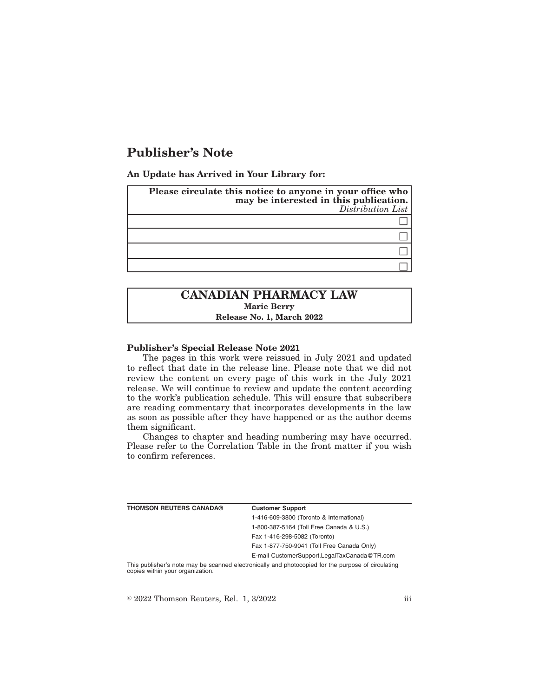# **Publisher's Note**

**An Update has Arrived in Your Library for:**

| Please circulate this notice to anyone in your office who<br>may be interested in this publication.<br>Distribution List |
|--------------------------------------------------------------------------------------------------------------------------|
|                                                                                                                          |
|                                                                                                                          |
|                                                                                                                          |
|                                                                                                                          |

## **CANADIAN PHARMACY LAW Marie Berry Release No. 1, March 2022**

#### **Publisher's Special Release Note 2021**

The pages in this work were reissued in July 2021 and updated to reflect that date in the release line. Please note that we did not review the content on every page of this work in the July 2021 release. We will continue to review and update the content according to the work's publication schedule. This will ensure that subscribers are reading commentary that incorporates developments in the law as soon as possible after they have happened or as the author deems them significant.

Changes to chapter and heading numbering may have occurred. Please refer to the Correlation Table in the front matter if you wish to confirm references.

| <b>THOMSON REUTERS CANADA®</b>   | <b>Customer Support</b>                                                                            |
|----------------------------------|----------------------------------------------------------------------------------------------------|
|                                  | 1-416-609-3800 (Toronto & International)                                                           |
|                                  | 1-800-387-5164 (Toll Free Canada & U.S.)                                                           |
|                                  | Fax 1-416-298-5082 (Toronto)                                                                       |
|                                  | Fax 1-877-750-9041 (Toll Free Canada Only)                                                         |
|                                  | E-mail CustomerSupport.LegalTaxCanada@TR.com                                                       |
| copies within your organization. | This publisher's note may be scanned electronically and photocopied for the purpose of circulating |

 $\textdegree$  2022 Thomson Reuters, Rel. 1, 3/2022 iii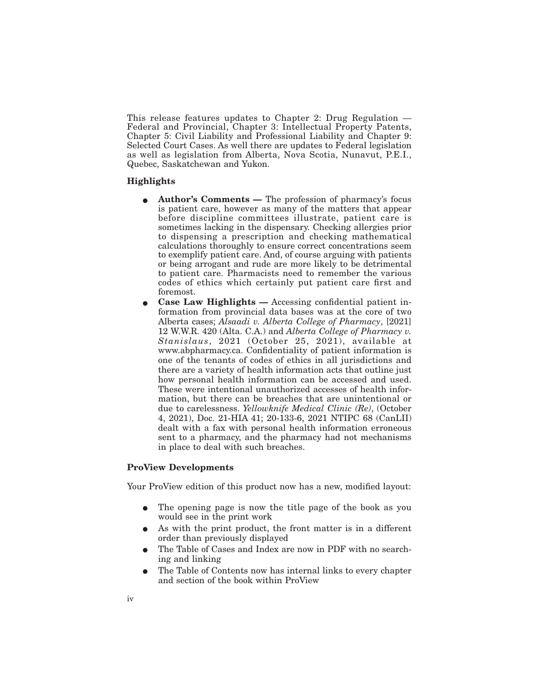This release features updates to Chapter 2: Drug Regulation — Federal and Provincial, Chapter 3: Intellectual Property Patents, Chapter 5: Civil Liability and Professional Liability and Chapter 9: Selected Court Cases. As well there are updates to Federal legislation as well as legislation from Alberta, Nova Scotia, Nunavut, P.E.I., Quebec, Saskatchewan and Yukon.

### **Highlights**

- **Author's Comments —** The profession of pharmacy's focus is patient care, however as many of the matters that appear before discipline committees illustrate, patient care is sometimes lacking in the dispensary. Checking allergies prior to dispensing a prescription and checking mathematical calculations thoroughly to ensure correct concentrations seem to exemplify patient care. And, of course arguing with patients or being arrogant and rude are more likely to be detrimental to patient care. Pharmacists need to remember the various codes of ethics which certainly put patient care first and foremost.
- E **Case Law Highlights —** Accessing confidential patient information from provincial data bases was at the core of two Alberta cases; *Alsaadi v. Alberta College of Pharmacy*, [2021] 12 W.W.R. 420 (Alta. C.A.) and *Alberta College of Pharmacy v. Stanislaus*, 2021 (October 25, 2021), available at www.abpharmacy.ca. Confidentiality of patient information is one of the tenants of codes of ethics in all jurisdictions and there are a variety of health information acts that outline just how personal health information can be accessed and used. These were intentional unauthorized accesses of health information, but there can be breaches that are unintentional or due to carelessness. *Yellowknife Medical Clinic (Re)*, (October 4, 2021), Doc. 21-HIA 41; 20-133-6, 2021 NTIPC 68 (CanLII) dealt with a fax with personal health information erroneous sent to a pharmacy, and the pharmacy had not mechanisms in place to deal with such breaches.

#### **ProView Developments**

Your ProView edition of this product now has a new, modified layout:

- The opening page is now the title page of the book as you would see in the print work
- As with the print product, the front matter is in a different order than previously displayed
- The Table of Cases and Index are now in PDF with no searching and linking
- The Table of Contents now has internal links to every chapter and section of the book within ProView